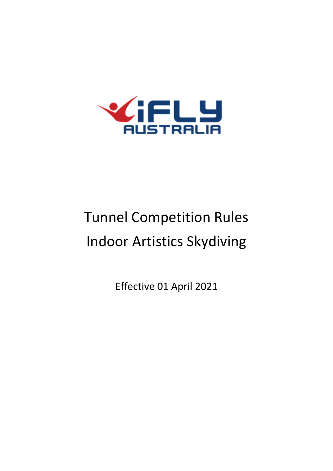

# Tunnel Competition Rules Indoor Artistics Skydiving

Effective 01 April 2021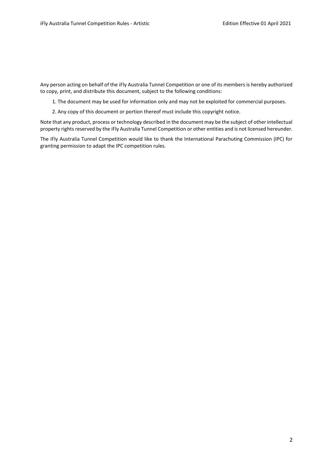Any person acting on behalf of the iFly Australia Tunnel Competition or one of its members is hereby authorized to copy, print, and distribute this document, subject to the following conditions:

1. The document may be used for information only and may not be exploited for commercial purposes.

2. Any copy of this document or portion thereof must include this copyright notice.

Note that any product, process or technology described in the document may be the subject of other intellectual property rights reserved by the iFly Australia Tunnel Competition or other entities and is not licensed hereunder.

The iFly Australia Tunnel Competition would like to thank the International Parachuting Commission (IPC) for granting permission to adapt the IPC competition rules.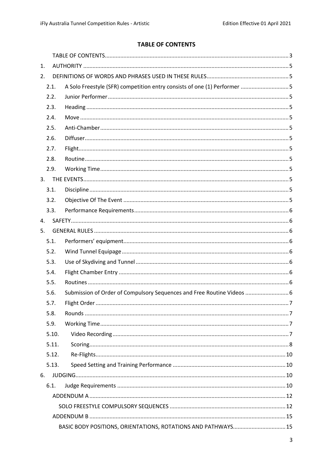# **TABLE OF CONTENTS**

<span id="page-2-0"></span>

| 1.   |       |                                                                          |     |
|------|-------|--------------------------------------------------------------------------|-----|
| 2.   |       |                                                                          |     |
|      | 2.1.  | A Solo Freestyle (SFR) competition entry consists of one (1) Performer 5 |     |
|      | 2.2.  |                                                                          |     |
|      | 2.3.  |                                                                          |     |
|      | 2.4.  |                                                                          |     |
|      | 2.5.  |                                                                          |     |
|      | 2.6.  |                                                                          |     |
| 2.7. |       |                                                                          |     |
|      | 2.8.  |                                                                          |     |
|      | 2.9.  |                                                                          |     |
| 3.   |       |                                                                          |     |
| 3.1. |       |                                                                          |     |
|      | 3.2.  |                                                                          |     |
|      | 3.3.  |                                                                          |     |
| 4.   |       |                                                                          |     |
| 5.   |       |                                                                          |     |
| 5.1. |       |                                                                          |     |
| 5.2. |       |                                                                          |     |
| 5.3. |       |                                                                          |     |
| 5.4. |       |                                                                          |     |
| 5.5. |       |                                                                          |     |
| 5.6. |       | Submission of Order of Compulsory Sequences and Free Routine Videos  6   |     |
| 5.7. |       | Flight Order                                                             | . 7 |
|      | 5.8.  |                                                                          |     |
|      | 5.9.  |                                                                          |     |
|      | 5.10. |                                                                          |     |
|      | 5.11. |                                                                          |     |
|      | 5.12. |                                                                          |     |
|      | 5.13. |                                                                          |     |
| 6.   |       |                                                                          |     |
|      | 6.1.  |                                                                          |     |
|      |       |                                                                          |     |
|      |       |                                                                          |     |
|      |       |                                                                          |     |
|      |       | BASIC BODY POSITIONS, ORIENTATIONS, ROTATIONS AND PATHWAYS 15            |     |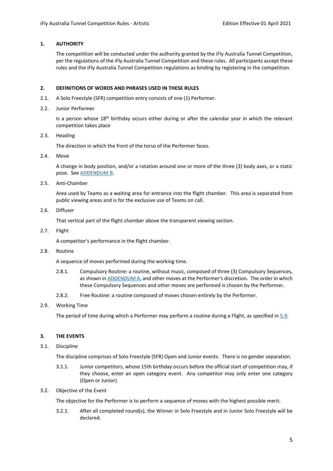#### <span id="page-4-0"></span>**1. AUTHORITY**

The competition will be conducted under the authority granted by the iFly Australia Tunnel Competition, per the regulations of the iFly Australia Tunnel Competition and these rules. All participants accept these rules and the iFly Australia Tunnel Competition regulations as binding by registering in the competition.

#### <span id="page-4-1"></span>**2. DEFINITIONS OF WORDS AND PHRASES USED IN THESE RULES**

- <span id="page-4-2"></span>2.1. A Solo Freestyle (SFR) competition entry consists of one (1) Performer.
- 2.2. Junior Performer

Is a person whose 18<sup>th</sup> birthday occurs either during or after the calendar year in which the relevant competition takes place

<span id="page-4-4"></span>2.3. Heading

The direction in which the front of the torso of the Performer faces.

<span id="page-4-5"></span>2.4. Move

A change in body position, and/or a rotation around one or more of the three (3) body axes, or a static pose. Se[e ADDENDUM B.](#page-14-0)

<span id="page-4-6"></span>2.5. Anti-Chamber

Area used by Teams as a waiting area for entrance into the flight chamber. This area is separated from public viewing areas and is for the exclusive use of Teams on call.

<span id="page-4-7"></span>2.6. Diffuser

That vertical part of the flight chamber above the transparent viewing section.

<span id="page-4-8"></span>2.7. Flight

A competitor's performance in the flight chamber.

<span id="page-4-9"></span>2.8. Routine

A sequence of moves performed during the working time.

- 2.8.1. Compulsory Routine: a routine, without music, composed of three (3) Compulsory Sequences, as shown in **ADDENDUM A**, and other moves at the Performer's discretion. The order in which these Compulsory Sequences and other moves are performed is chosen by the Performer.
- 2.8.2. Free Routine: a routine composed of moves chosen entirely by the Performer.
- <span id="page-4-3"></span>2.9. Working Time

The period of time during which a Performer may perform a routine during a Flight, as specified i[n 5.9.](#page-6-2)

#### <span id="page-4-10"></span>**3. THE EVENTS**

<span id="page-4-11"></span>3.1. Discipline

The discipline comprises of Solo Freestyle (SFR) Open and Junior events. There is no gender separation.

- 3.1.1. Junior competitors, whose 15th birthday occurs before the official start of competition may, if they choose, enter an open category event. Any competitor may only enter one category (Open or Junior).
- <span id="page-4-12"></span>3.2. Objective of the Event

The objective for the Performer is to perform a sequence of moves with the highest possible merit.

3.2.1. After all completed round(s), the Winner in Solo Freestyle and in Junior Solo Freestyle will be declared.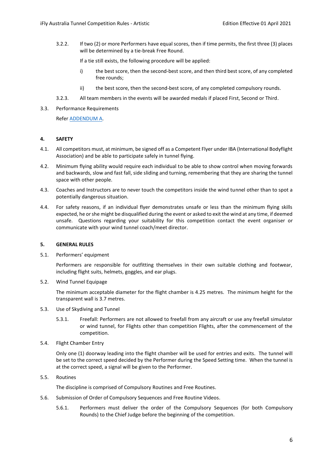3.2.2. If two (2) or more Performers have equal scores, then if time permits, the first three (3) places will be determined by a tie-break Free Round.

If a tie still exists, the following procedure will be applied:

- i) the best score, then the second-best score, and then third best score, of any completed free rounds;
- ii) the best score, then the second-best score, of any completed compulsory rounds.
- 3.2.3. All team members in the events will be awarded medals if placed First, Second or Third.
- <span id="page-5-0"></span>3.3. Performance Requirements

Refe[r ADDENDUM A.](#page-11-0)

#### <span id="page-5-1"></span>**4. SAFETY**

- 4.1. All competitors must, at minimum, be signed off as a Competent Flyer under IBA (International Bodyflight Association) and be able to participate safely in tunnel flying.
- 4.2. Minimum flying ability would require each individual to be able to show control when moving forwards and backwards, slow and fast fall, side sliding and turning, remembering that they are sharing the tunnel space with other people.
- 4.3. Coaches and Instructors are to never touch the competitors inside the wind tunnel other than to spot a potentially dangerous situation.
- 4.4. For safety reasons, if an individual flyer demonstrates unsafe or less than the minimum flying skills expected, he or she might be disqualified during the event or asked to exit the wind at any time, if deemed unsafe. Questions regarding your suitability for this competition contact the event organiser or communicate with your wind tunnel coach/meet director.

#### <span id="page-5-2"></span>**5. GENERAL RULES**

<span id="page-5-3"></span>5.1. Performers' equipment

Performers are responsible for outfitting themselves in their own suitable clothing and footwear, including flight suits, helmets, goggles, and ear plugs.

<span id="page-5-4"></span>5.2. Wind Tunnel Equipage

The minimum acceptable diameter for the flight chamber is 4.25 metres. The minimum height for the transparent wall is 3.7 metres.

- <span id="page-5-5"></span>5.3. Use of Skydiving and Tunnel
	- 5.3.1. Freefall: Performers are not allowed to freefall from any aircraft or use any freefall simulator or wind tunnel, for Flights other than competition Flights, after the commencement of the competition.
- <span id="page-5-6"></span>5.4. Flight Chamber Entry

Only one (1) doorway leading into the flight chamber will be used for entries and exits. The tunnel will be set to the correct speed decided by the Performer during the Speed Setting time. When the tunnel is at the correct speed, a signal will be given to the Performer.

<span id="page-5-7"></span>5.5. Routines

The discipline is comprised of Compulsory Routines and Free Routines.

- <span id="page-5-8"></span>5.6. Submission of Order of Compulsory Sequences and Free Routine Videos.
	- 5.6.1. Performers must deliver the order of the Compulsory Sequences (for both Compulsory Rounds) to the Chief Judge before the beginning of the competition.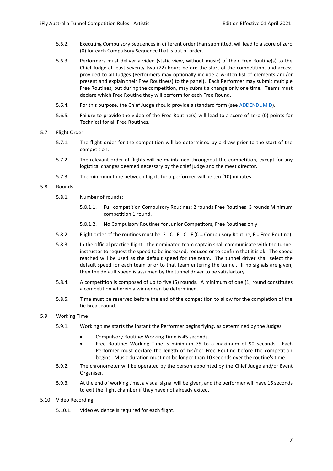- 5.6.2. Executing Compulsory Sequences in different order than submitted, will lead to a score of zero (0) for each Compulsory Sequence that is out of order.
- 5.6.3. Performers must deliver a video (static view, without music) of their Free Routine(s) to the Chief Judge at least seventy-two (72) hours before the start of the competition, and access provided to all Judges (Performers may optionally include a written list of elements and/or present and explain their Free Routine(s) to the panel). Each Performer may submit multiple Free Routines, but during the competition, may submit a change only one time. Teams must declare which Free Routine they will perform for each Free Round.
- 5.6.4. For this purpose, the Chief Judge should provide a standard form (see [ADDENDUM D\)](#page-20-0).
- 5.6.5. Failure to provide the video of the Free Routine(s) will lead to a score of zero (0) points for Technical for all Free Routines.
- <span id="page-6-0"></span>5.7. Flight Order
	- 5.7.1. The flight order for the competition will be determined by a draw prior to the start of the competition.
	- 5.7.2. The relevant order of flights will be maintained throughout the competition, except for any logistical changes deemed necessary by the chief judge and the meet director.
	- 5.7.3. The minimum time between flights for a performer will be ten (10) minutes.
- <span id="page-6-1"></span>5.8. Rounds
	- 5.8.1. Number of rounds:
		- 5.8.1.1. Full competition Compulsory Routines: 2 rounds Free Routines: 3 rounds Minimum competition 1 round.
		- 5.8.1.2. No Compulsory Routines for Junior Competitors, Free Routines only
	- 5.8.2. Flight order of the routines must be: F C F C F (C = Compulsory Routine, F = Free Routine).
	- 5.8.3. In the official practice flight the nominated team captain shall communicate with the tunnel instructor to request the speed to be increased, reduced or to confirm that it is ok. The speed reached will be used as the default speed for the team. The tunnel driver shall select the default speed for each team prior to that team entering the tunnel. If no signals are given, then the default speed is assumed by the tunnel driver to be satisfactory.
	- 5.8.4. A competition is composed of up to five (5) rounds. A minimum of one (1) round constitutes a competition wherein a winner can be determined.
	- 5.8.5. Time must be reserved before the end of the competition to allow for the completion of the tie break round.
- <span id="page-6-2"></span>5.9. Working Time
	- 5.9.1. Working time starts the instant the Performer begins flying, as determined by the Judges.
		- Compulsory Routine: Working Time is 45 seconds.
		- Free Routine: Working Time is minimum 75 to a maximum of 90 seconds. Each Performer must declare the length of his/her Free Routine before the competition begins. Music duration must not be longer than 10 seconds over the routine's time.
	- 5.9.2. The chronometer will be operated by the person appointed by the Chief Judge and/or Event Organiser.
	- 5.9.3. At the end of working time, a visual signal will be given, and the performer will have 15 seconds to exit the flight chamber if they have not already exited.

#### <span id="page-6-3"></span>5.10. Video Recording

5.10.1. Video evidence is required for each flight.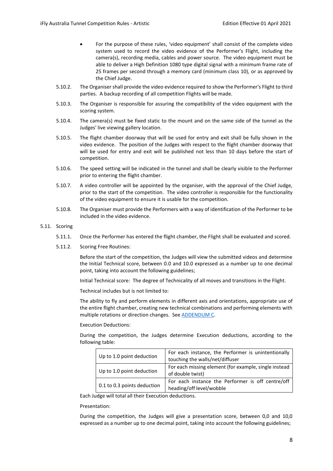- For the purpose of these rules, 'video equipment' shall consist of the complete video system used to record the video evidence of the Performer's Flight, including the camera(s), recording media, cables and power source. The video equipment must be able to deliver a High Definition 1080 type digital signal with a minimum frame rate of 25 frames per second through a memory card (minimum class 10), or as approved by the Chief Judge.
- 5.10.2. The Organiser shall provide the video evidence required to show the Performer's Flight to third parties. A backup recording of all competition Flights will be made.
- 5.10.3. The Organiser is responsible for assuring the compatibility of the video equipment with the scoring system.
- 5.10.4. The camera(s) must be fixed static to the mount and on the same side of the tunnel as the Judges' live viewing gallery location.
- 5.10.5. The flight chamber doorway that will be used for entry and exit shall be fully shown in the video evidence. The position of the Judges with respect to the flight chamber doorway that will be used for entry and exit will be published not less than 10 days before the start of competition.
- 5.10.6. The speed setting will be indicated in the tunnel and shall be clearly visible to the Performer prior to entering the flight chamber.
- 5.10.7. A video controller will be appointed by the organiser, with the approval of the Chief Judge, prior to the start of the competition. The video controller is responsible for the functionality of the video equipment to ensure it is usable for the competition.
- 5.10.8. The Organiser must provide the Performers with a way of identification of the Performer to be included in the video evidence.
- <span id="page-7-0"></span>5.11. Scoring
	- 5.11.1. Once the Performer has entered the flight chamber, the Flight shall be evaluated and scored.
	- 5.11.2. Scoring Free Routines:

Before the start of the competition, the Judges will view the submitted videos and determine the Initial Technical score, between 0.0 and 10.0 expressed as a number up to one decimal point, taking into account the following guidelines;

Initial Technical score: The degree of Technicality of all moves and transitions in the Flight.

Technical includes but is not limited to:

The ability to fly and perform elements in different axis and orientations, appropriate use of the entire flight chamber, creating new technical combinations and performing elements with multiple rotations or direction changes. See [ADDENDUM C.](#page-19-0)

Execution Deductions:

During the competition, the Judges determine Execution deductions, according to the following table:

| Up to 1.0 point deduction   | For each instance, the Performer is unintentionally<br>touching the walls/net/diffuser |  |
|-----------------------------|----------------------------------------------------------------------------------------|--|
| Up to 1.0 point deduction   | For each missing element (for example, single instead<br>of double twist)              |  |
| 0.1 to 0.3 points deduction | For each instance the Performer is off centre/off<br>heading/off level/wobble          |  |

Each Judge will total all their Execution deductions.

Presentation:

During the competition, the Judges will give a presentation score, between 0,0 and 10,0 expressed as a number up to one decimal point, taking into account the following guidelines;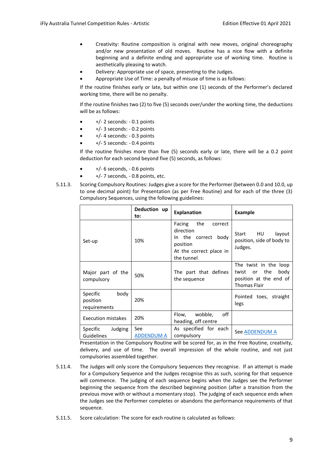- Creativity: Routine composition is original with new moves, original choreography and/or new presentation of old moves. Routine has a nice flow with a definite beginning and a definite ending and appropriate use of working time. Routine is aesthetically pleasing to watch.
- Delivery: Appropriate use of space, presenting to the Judges.
- Appropriate Use of Time: a penalty of misuse of time is as follows:

If the routine finishes early or late, but within one (1) seconds of the Performer's declared working time, there will be no penalty.

If the routine finishes two (2) to five (5) seconds over/under the working time, the deductions will be as follows:

- $+/- 2$  seconds:  $-0.1$  points
- $\bullet$   $+/-$  3 seconds:  $-0.2$  points
- $\bullet$   $+/- 4$  seconds:  $-0.3$  points
- +/- 5 seconds: 0.4 points

If the routine finishes more than five (5) seconds early or late, there will be a 0.2 point deduction for each second beyond five (5) seconds, as follows:

- $\bullet$   $+/-$  6 seconds,  $-0.6$  points
- +/- 7 seconds, 0.8 points, etc.
- 5.11.3. Scoring Compulsory Routines: Judges give a score for the Performer (between 0.0 and 10.0, up to one decimal point) for Presentation (as per Free Routine) and for each of the three (3) Compulsory Sequences, using the following guidelines:

|                                              | Deduction up<br>to:      | <b>Explanation</b>                                                                                                   | <b>Example</b>                                                                                       |
|----------------------------------------------|--------------------------|----------------------------------------------------------------------------------------------------------------------|------------------------------------------------------------------------------------------------------|
| Set-up                                       | 10%                      | the<br>Facing<br>correct<br>direction<br>In the correct<br>body<br>position<br>At the correct place in<br>the tunnel | HU<br>Start<br>layout<br>position, side of body to<br>Judges.                                        |
| Major part of the<br>compulsory              | 50%                      | The part that defines<br>the sequence                                                                                | The twist in the loop<br>the<br>body<br>twist<br>or<br>position at the end of<br><b>Thomas Flair</b> |
| body<br>Specific<br>position<br>requirements | 20%                      |                                                                                                                      | Pointed toes, straight<br>legs                                                                       |
| Execution mistakes                           | 20%                      | off<br>wobble,<br>Flow,<br>heading, off centre                                                                       |                                                                                                      |
| Judging<br>Specific<br>Guidelines            | See<br><b>ADDENDUM A</b> | As specified for each<br>compulsory                                                                                  | See ADDENDUM A                                                                                       |

Presentation in the Compulsory Routine will be scored for, as in the Free Routine, creativity, delivery, and use of time. The overall impression of the whole routine, and not just compulsories assembled together.

- 5.11.4. The Judges will only score the Compulsory Sequences they recognise. If an attempt is made for a Compulsory Sequence and the Judges recognise this as such, scoring for that sequence will commence. The judging of each sequence begins when the Judges see the Performer beginning the sequence from the described beginning position (after a transition from the previous move with or without a momentary stop). The judging of each sequence ends when the Judges see the Performer completes or abandons the performance requirements of that sequence.
- 5.11.5. Score calculation: The score for each routine is calculated as follows: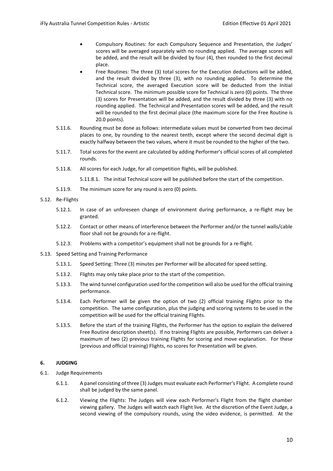- Compulsory Routines: for each Compulsory Sequence and Presentation, the Judges' scores will be averaged separately with no rounding applied. The average scores will be added, and the result will be divided by four (4), then rounded to the first decimal place.
- Free Routines: The three (3) total scores for the Execution deductions will be added, and the result divided by three (3), with no rounding applied. To determine the Technical score, the averaged Execution score will be deducted from the Initial Technical score. The minimum possible score for Technical is zero (0) points. The three (3) scores for Presentation will be added, and the result divided by three (3) with no rounding applied. The Technical and Presentation scores will be added, and the result will be rounded to the first decimal place (the maximum score for the Free Routine is 20.0 points).
- 5.11.6. Rounding must be done as follows: intermediate values must be converted from two decimal places to one, by rounding to the nearest tenth, except where the second decimal digit is exactly halfway between the two values, where it must be rounded to the higher of the two.
- 5.11.7. Total scores for the event are calculated by adding Performer's official scores of all completed rounds.
- 5.11.8. All scores for each Judge, for all competition flights, will be published.

5.11.8.1. The initial Technical score will be published before the start of the competition.

- 5.11.9. The minimum score for any round is zero (0) points.
- <span id="page-9-0"></span>5.12. Re-Flights
	- 5.12.1. In case of an unforeseen change of environment during performance, a re-flight may be granted.
	- 5.12.2. Contact or other means of interference between the Performer and/or the tunnel walls/cable floor shall not be grounds for a re-flight.
	- 5.12.3. Problems with a competitor's equipment shall not be grounds for a re-flight.
- <span id="page-9-1"></span>5.13. Speed Setting and Training Performance
	- 5.13.1. Speed Setting: Three (3) minutes per Performer will be allocated for speed setting.
	- 5.13.2. Flights may only take place prior to the start of the competition.
	- 5.13.3. The wind tunnel configuration used for the competition will also be used for the official training performance.
	- 5.13.4. Each Performer will be given the option of two (2) official training Flights prior to the competition. The same configuration, plus the judging and scoring systems to be used in the competition will be used for the official training Flights.
	- 5.13.5. Before the start of the training Flights, the Performer has the option to explain the delivered Free Routine description sheet(s). If no training Flights are possible, Performers can deliver a maximum of two (2) previous training Flights for scoring and move explanation. For these (previous and official training) Flights, no scores for Presentation will be given.

#### <span id="page-9-2"></span>**6. JUDGING**

- <span id="page-9-3"></span>6.1. Judge Requirements
	- 6.1.1. A panel consisting of three (3) Judges must evaluate each Performer's Flight. A complete round shall be judged by the same panel.
	- 6.1.2. Viewing the Flights: The Judges will view each Performer's Flight from the flight chamber viewing gallery. The Judges will watch each Flight live. At the discretion of the Event Judge, a second viewing of the compulsory rounds, using the video evidence, is permitted. At the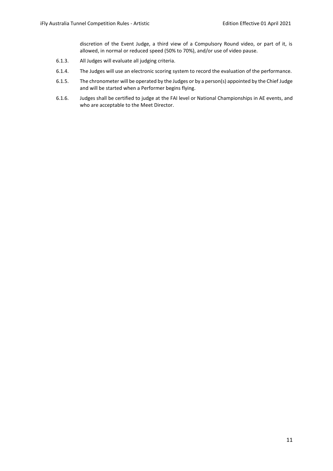discretion of the Event Judge, a third view of a Compulsory Round video, or part of it, is allowed, in normal or reduced speed (50% to 70%), and/or use of video pause.

- 6.1.3. All Judges will evaluate all judging criteria.
- 6.1.4. The Judges will use an electronic scoring system to record the evaluation of the performance.
- 6.1.5. The chronometer will be operated by the Judges or by a person(s) appointed by the Chief Judge and will be started when a Performer begins flying.
- 6.1.6. Judges shall be certified to judge at the FAI level or National Championships in AE events, and who are acceptable to the Meet Director.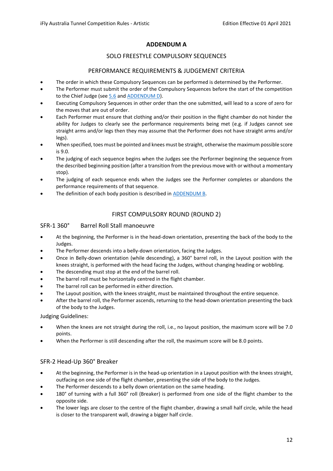# **ADDENDUM A**

# SOLO FREESTYLE COMPULSORY SEQUENCES

# PERFORMANCE REQUIREMENTS & JUDGEMENT CRITERIA

- <span id="page-11-1"></span><span id="page-11-0"></span>• The order in which these Compulsory Sequences can be performed is determined by the Performer.
- The Performer must submit the order of the Compulsory Sequences before the start of the competition to the Chief Judge (see [5.6](#page-5-8) an[d ADDENDUM D\)](#page-20-0).
- Executing Compulsory Sequences in other order than the one submitted, will lead to a score of zero for the moves that are out of order.
- Each Performer must ensure that clothing and/or their position in the flight chamber do not hinder the ability for Judges to clearly see the performance requirements being met (e.g. if Judges cannot see straight arms and/or legs then they may assume that the Performer does not have straight arms and/or legs).
- When specified, toes must be pointed and knees must be straight, otherwise the maximum possible score is 9.0.
- The judging of each sequence begins when the Judges see the Performer beginning the sequence from the described beginning position (after a transition from the previous move with or without a momentary stop).
- The judging of each sequence ends when the Judges see the Performer completes or abandons the performance requirements of that sequence.
- The definition of each body position is described in [ADDENDUM B.](#page-14-0)

# FIRST COMPULSORY ROUND (ROUND 2)

## SFR-1 360° Barrel Roll Stall manoeuvre

- At the beginning, the Performer is in the head-down orientation, presenting the back of the body to the Judges.
- The Performer descends into a belly-down orientation, facing the Judges.
- Once in Belly-down orientation (while descending), a 360° barrel roll, in the Layout position with the knees straight, is performed with the head facing the Judges, without changing heading or wobbling.
- The descending must stop at the end of the barrel roll.
- The barrel roll must be horizontally centred in the flight chamber.
- The barrel roll can be performed in either direction.
- The Layout position, with the knees straight, must be maintained throughout the entire sequence.
- After the barrel roll, the Performer ascends, returning to the head-down orientation presenting the back of the body to the Judges.

Judging Guidelines:

- When the knees are not straight during the roll, i.e., no layout position, the maximum score will be 7.0 points.
- When the Performer is still descending after the roll, the maximum score will be 8.0 points.

# SFR-2 Head-Up 360° Breaker

- At the beginning, the Performer is in the head-up orientation in a Layout position with the knees straight, outfacing on one side of the flight chamber, presenting the side of the body to the Judges.
- The Performer descends to a belly down orientation on the same heading.
- 180° of turning with a full 360° roll (Breaker) is performed from one side of the flight chamber to the opposite side.
- The lower legs are closer to the centre of the flight chamber, drawing a small half circle, while the head is closer to the transparent wall, drawing a bigger half circle.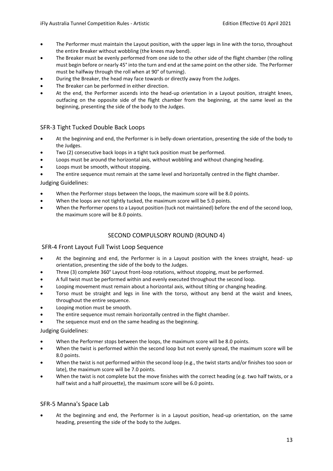- The Performer must maintain the Layout position, with the upper legs in line with the torso, throughout the entire Breaker without wobbling (the knees may bend).
- The Breaker must be evenly performed from one side to the other side of the flight chamber (the rolling must begin before or nearly 45° into the turn and end at the same point on the other side. The Performer must be halfway through the roll when at 90° of turning).
- During the Breaker, the head may face towards or directly away from the Judges.
- The Breaker can be performed in either direction.
- At the end, the Performer ascends into the head-up orientation in a Layout position, straight knees, outfacing on the opposite side of the flight chamber from the beginning, at the same level as the beginning, presenting the side of the body to the Judges.

## SFR-3 Tight Tucked Double Back Loops

- At the beginning and end, the Performer is in belly-down orientation, presenting the side of the body to the Judges.
- Two (2) consecutive back loops in a tight tuck position must be performed.
- Loops must be around the horizontal axis, without wobbling and without changing heading.
- Loops must be smooth, without stopping.
- The entire sequence must remain at the same level and horizontally centred in the flight chamber.

#### Judging Guidelines:

- When the Performer stops between the loops, the maximum score will be 8.0 points.
- When the loops are not tightly tucked, the maximum score will be 5.0 points.
- When the Performer opens to a Layout position (tuck not maintained) before the end of the second loop, the maximum score will be 8.0 points.

# SECOND COMPULSORY ROUND (ROUND 4)

## SFR-4 Front Layout Full Twist Loop Sequence

- At the beginning and end, the Performer is in a Layout position with the knees straight, head- up orientation, presenting the side of the body to the Judges.
- Three (3) complete 360° Layout front-loop rotations, without stopping, must be performed.
- A full twist must be performed within and evenly executed throughout the second loop.
- Looping movement must remain about a horizontal axis, without tilting or changing heading.
- Torso must be straight and legs in line with the torso, without any bend at the waist and knees, throughout the entire sequence.
- Looping motion must be smooth.
- The entire sequence must remain horizontally centred in the flight chamber.
- The sequence must end on the same heading as the beginning.

Judging Guidelines:

- When the Performer stops between the loops, the maximum score will be 8.0 points.
- When the twist is performed within the second loop but not evenly spread, the maximum score will be 8.0 points.
- When the twist is not performed within the second loop (e.g., the twist starts and/or finishes too soon or late), the maximum score will be 7.0 points.
- When the twist is not complete but the move finishes with the correct heading (e.g. two half twists, or a half twist and a half pirouette), the maximum score will be 6.0 points.

## SFR-5 Manna's Space Lab

• At the beginning and end, the Performer is in a Layout position, head-up orientation, on the same heading, presenting the side of the body to the Judges.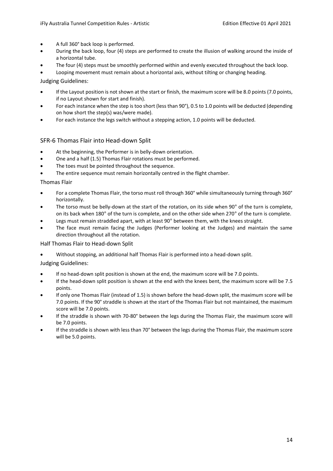- A full 360° back loop is performed.
- During the back loop, four (4) steps are performed to create the illusion of walking around the inside of a horizontal tube.
- The four (4) steps must be smoothly performed within and evenly executed throughout the back loop.
- Looping movement must remain about a horizontal axis, without tilting or changing heading.

Judging Guidelines:

- If the Layout position is not shown at the start or finish, the maximum score will be 8.0 points (7.0 points, if no Layout shown for start and finish).
- For each instance when the step is too short (less than 90°), 0.5 to 1.0 points will be deducted (depending on how short the step(s) was/were made).
- For each instance the legs switch without a stepping action, 1.0 points will be deducted.

## SFR-6 Thomas Flair into Head-down Split

- At the beginning, the Performer is in belly-down orientation.
- One and a half (1.5) Thomas Flair rotations must be performed.
- The toes must be pointed throughout the sequence.
- The entire sequence must remain horizontally centred in the flight chamber.

#### Thomas Flair

- For a complete Thomas Flair, the torso must roll through 360° while simultaneously turning through 360° horizontally.
- The torso must be belly-down at the start of the rotation, on its side when 90° of the turn is complete, on its back when 180° of the turn is complete, and on the other side when 270° of the turn is complete.
- Legs must remain straddled apart, with at least 90° between them, with the knees straight.
- The face must remain facing the Judges (Performer looking at the Judges) and maintain the same direction throughout all the rotation.

Half Thomas Flair to Head-down Split

• Without stopping, an additional half Thomas Flair is performed into a head-down split.

#### Judging Guidelines:

- If no head-down split position is shown at the end, the maximum score will be 7.0 points.
- If the head-down split position is shown at the end with the knees bent, the maximum score will be 7.5 points.
- If only one Thomas Flair (instead of 1.5) is shown before the head-down split, the maximum score will be 7.0 points. If the 90° straddle is shown at the start of the Thomas Flair but not maintained, the maximum score will be 7.0 points.
- If the straddle is shown with 70-80° between the legs during the Thomas Flair, the maximum score will be 7.0 points.
- If the straddle is shown with less than 70° between the legs during the Thomas Flair, the maximum score will be 5.0 points.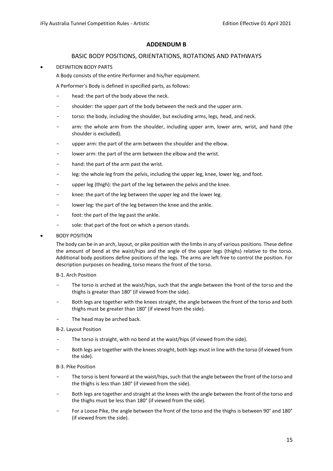## **ADDENDUM B**

## BASIC BODY POSITIONS, ORIENTATIONS, ROTATIONS AND PATHWAYS

#### <span id="page-14-1"></span><span id="page-14-0"></span>• DEFINITION BODY PARTS

A Body consists of the entire Performer and his/her equipment.

A Performer's Body is defined in specified parts, as follows:

- head: the part of the body above the neck.
- shoulder: the upper part of the body between the neck and the upper arm.
- torso: the body, including the shoulder, but excluding arms, legs, head, and neck.
- arm: the whole arm from the shoulder, including upper arm, lower arm, wrist, and hand (the shoulder is excluded).
- upper arm: the part of the arm between the shoulder and the elbow.
- lower arm: the part of the arm between the elbow and the wrist.
- hand: the part of the arm past the wrist.
- leg: the whole leg from the pelvis, including the upper leg, knee, lower leg, and foot.
- upper leg (thigh): the part of the leg between the pelvis and the knee.
- knee: the part of the leg between the upper leg and the lower leg.
- lower leg: the part of the leg between the knee and the ankle.
- foot: the part of the leg past the ankle.
- sole: that part of the foot on which a person stands.

#### • BODY POSITION

The body can be in an arch, layout, or pike position with the limbs in any of various positions. These define the amount of bend at the waist/hips and the angle of the upper legs (thighs) relative to the torso. Additional body positions define positions of the legs. The arms are left free to control the position. For description purposes on heading, torso means the front of the torso.

#### B-1. Arch Position

- The torso is arched at the waist/hips, such that the angle between the front of the torso and the thighs is greater than 180° (if viewed from the side).
- Both legs are together with the knees straight, the angle between the front of the torso and both thighs must be greater than 180° (if viewed from the side).
- The head may be arched back.

#### B-2. Layout Position

- The torso is straight, with no bend at the waist/hips (if viewed from the side).
- Both legs are together with the knees straight, both legs must in line with the torso (if viewed from the side).

#### B-3. Pike Position

- The torso is bent forward at the waist/hips, such that the angle between the front of the torso and the thighs is less than 180° (if viewed from the side).
- Both legs are together and straight at the knees with the angle between the front of the torso and the thighs must be less than 180° (if viewed from the side).
- For a Loose Pike, the angle between the front of the torso and the thighs is between 90° and 180° (if viewed from the side).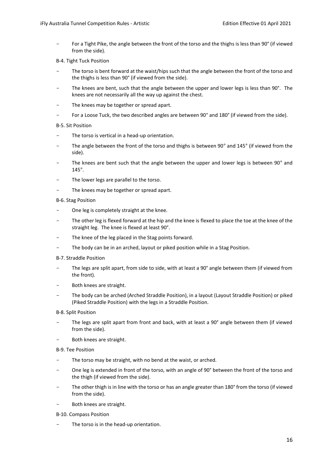For a Tight Pike, the angle between the front of the torso and the thighs is less than 90° (if viewed from the side).

#### B-4. Tight Tuck Position

- The torso is bent forward at the waist/hips such that the angle between the front of the torso and the thighs is less than 90° (if viewed from the side).
- The knees are bent, such that the angle between the upper and lower legs is less than 90°. The knees are not necessarily all the way up against the chest.
- The knees may be together or spread apart.
- For a Loose Tuck, the two described angles are between 90° and 180° (if viewed from the side).

#### B-5. Sit Position

- The torso is vertical in a head-up orientation.
- The angle between the front of the torso and thighs is between 90° and 145° (if viewed from the side).
- The knees are bent such that the angle between the upper and lower legs is between 90° and 145°.
- The lower legs are parallel to the torso.
- The knees may be together or spread apart.

#### B-6. Stag Position

- One leg is completely straight at the knee.
- The other leg is flexed forward at the hip and the knee is flexed to place the toe at the knee of the straight leg. The knee is flexed at least 90°.
- The knee of the leg placed in the Stag points forward.
- The body can be in an arched, layout or piked position while in a Stag Position.
- B-7. Straddle Position
- The legs are split apart, from side to side, with at least a 90° angle between them (if viewed from the front).
- Both knees are straight.
- The body can be arched (Arched Straddle Position), in a layout (Layout Straddle Position) or piked (Piked Straddle Position) with the legs in a Straddle Position.

#### B-8. Split Position

- The legs are split apart from front and back, with at least a 90° angle between them (if viewed from the side).
- Both knees are straight.

#### B-9. Tee Position

- The torso may be straight, with no bend at the waist, or arched.
- One leg is extended in front of the torso, with an angle of 90° between the front of the torso and the thigh (if viewed from the side).
- The other thigh is in line with the torso or has an angle greater than 180° from the torso (if viewed from the side).
- Both knees are straight.
- B-10. Compass Position
- The torso is in the head-up orientation.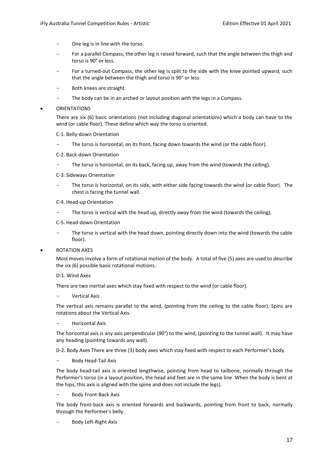- One leg is in line with the torso.
- For a parallel Compass, the other leg is raised forward, such that the angle between the thigh and torso is 90° or less.
- For a turned-out Compass, the other leg is split to the side with the knee pointed upward, such that the angle between the thigh and torso is 90° or less.
- Both knees are straight.
- The body can be in an arched or layout position with the legs in a Compass.

#### **ORIENTATIONS**

There are six (6) basic orientations (not including diagonal orientations) which a body can have to the wind (or cable floor). These define which way the torso is oriented.

#### C-1. Belly-down Orientation

- The torso is horizontal, on its front, facing down towards the wind (or the cable floor).
- C-2. Back-down Orientation
- The torso is horizontal, on its back, facing up, away from the wind (towards the ceiling).
- C-3. Sideways Orientation
- The torso is horizontal, on its side, with either side facing towards the wind (or cable floor). The chest is facing the tunnel wall.
- C-4. Head-up Orientation
- The torso is vertical with the head up, directly away from the wind (towards the ceiling).
- C-5. Head-down Orientation
- The torso is vertical with the head down, pointing directly down into the wind (towards the cable floor).
- ROTATION AXES

Most moves involve a form of rotational motion of the body. A total of five (5) axes are used to describe the six (6) possible basic rotational motions.

D-1. Wind Axes

There are two inertial axes which stay fixed with respect to the wind (or cable floor).

Vertical Axis

The vertical axis remains parallel to the wind, (pointing from the ceiling to the cable floor). Spins are rotations about the Vertical Axis.

- Horizontal Axis

The horizontal axis is any axis perpendicular (90°) to the wind, (pointing to the tunnel wall). It may have any heading (pointing towards any wall).

D-2. Body Axes There are three (3) body axes which stay fixed with respect to each Performer's body.

- Body Head-Tail Axis

The body head-tail axis is oriented lengthwise, pointing from head to tailbone, normally through the Performer's torso (in a layout position, the head and feet are in the same line. When the body is bent at the hips, this axis is aligned with the spine and does not include the legs).

Body Front-Back Axis

The body front-back axis is oriented forwards and backwards, pointing from front to back, normally through the Performer's belly.

Body Left-Right Axis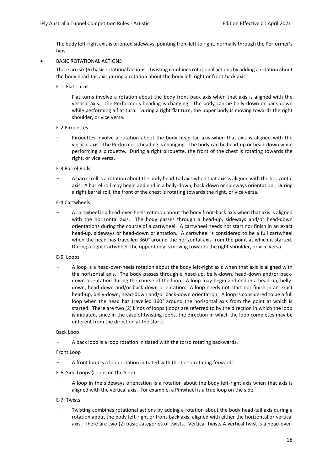The body left-right axis is oriented sideways, pointing from left to right, normally through the Performer's hips.

• BASIC ROTATIONAL ACTIONS

There are six (6) basic rotational actions. Twisting combines rotational actions by adding a rotation about the body head-tail axis during a rotation about the body left-right or front-back axis.

E-1. Flat Turns

Flat turns involve a rotation about the body front-back axis when that axis is aligned with the vertical axis. The Performer's heading is changing. The body can be belly-down or back-down while performing a flat turn. During a right flat turn, the upper body is moving towards the right shoulder, or vice versa.

#### E-2 Pirouettes

Pirouettes involve a rotation about the body head-tail axis when that axis is aligned with the vertical axis. The Performer's heading is changing. The body can be head-up or head-down while performing a pirouette. During a right pirouette, the front of the chest is rotating towards the right, or vice versa.

#### E-3 Barrel Rolls

A barrel roll is a rotation about the body head-tail axis when that axis is aligned with the horizontal axis. A barrel roll may begin and end in a belly-down, back-down or sideways orientation. During a right barrel roll, the front of the chest is rotating towards the right, or vice versa.

#### E-4 Cartwheels

- A cartwheel is a head-over-heels rotation about the body front-back axis when that axis is aligned with the horizontal axis. The body passes through a head-up, sideways and/or head-down orientations during the course of a cartwheel. A cartwheel needs not start nor finish in an exact head-up, sideways or head-down orientation. A cartwheel is considered to be a full cartwheel when the head has travelled 360° around the horizontal axis from the point at which it started. During a right Cartwheel, the upper body is moving towards the right shoulder, or vice versa.

#### E-5. Loops

- A loop is a head-over-heels rotation about the body left-right axis when that axis is aligned with the horizontal axis. The body passes through a head-up, belly-down, head-down and/or backdown orientation during the course of the loop. A loop may begin and end in a head-up, bellydown, head-down and/or back-down orientation. A loop needs not start nor finish in an exact head-up, belly-down, head-down and/or back-down orientation. A loop is considered to be a full loop when the head has travelled 360° around the horizontal axis from the point at which is started. There are two (2) kinds of loops (loops are referred to by the direction in which the loop is initiated, since in the case of twisting loops, the direction in which the loop completes may be different from the direction at the start).

#### Back Loop

A back loop is a loop rotation initiated with the torso rotating backwards.

Front Loop

A front loop is a loop rotation initiated with the torso rotating forwards.

#### E-6. Side Loops (Loops on the Side)

A loop in the sideways orientation is a rotation about the body left-right axis when that axis is aligned with the vertical axis. For example, a Pinwheel is a true loop on the side.

#### E-7. Twists

Twisting combines rotational actions by adding a rotation about the body head-tail axis during a rotation about the body left-right or front-back axis, aligned with either the horizontal or vertical axis. There are two (2) basic categories of twists. Vertical Twists A vertical twist is a head-over-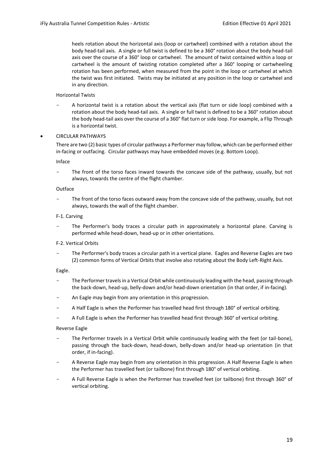heels rotation about the horizontal axis (loop or cartwheel) combined with a rotation about the body head-tail axis. A single or full twist is defined to be a 360° rotation about the body head-tail axis over the course of a 360° loop or cartwheel. The amount of twist contained within a loop or cartwheel is the amount of twisting rotation completed after a 360° looping or cartwheeling rotation has been performed, when measured from the point in the loop or cartwheel at which the twist was first initiated. Twists may be initiated at any position in the loop or cartwheel and in any direction.

#### Horizontal Twists

- A horizontal twist is a rotation about the vertical axis (flat turn or side loop) combined with a rotation about the body head-tail axis. A single or full twist is defined to be a 360° rotation about the body head-tail axis over the course of a 360° flat turn or side loop. For example, a Flip Through is a horizontal twist.
- CIRCULAR PATHWAYS

There are two (2) basic types of circular pathways a Performer may follow, which can be performed either in-facing or outfacing. Circular pathways may have embedded moves (e.g. Bottom Loop).

Inface

The front of the torso faces inward towards the concave side of the pathway, usually, but not always, towards the centre of the flight chamber.

#### Outface

The front of the torso faces outward away from the concave side of the pathway, usually, but not always, towards the wall of the flight chamber.

#### F-1. Carving

The Performer's body traces a circular path in approximately a horizontal plane. Carving is performed while head-down, head-up or in other orientations.

#### F-2. Vertical Orbits

The Performer's body traces a circular path in a vertical plane. Eagles and Reverse Eagles are two (2) common forms of Vertical Orbits that involve also rotating about the Body Left-Right Axis.

#### Eagle.

- The Performer travels in a Vertical Orbit while continuously leading with the head, passing through the back-down, head-up, belly-down and/or head-down orientation (in that order, if in-facing).
- An Eagle may begin from any orientation in this progression.
- A Half Eagle is when the Performer has travelled head first through 180° of vertical orbiting.
- A Full Eagle is when the Performer has travelled head first through 360° of vertical orbiting.

#### Reverse Eagle

- The Performer travels in a Vertical Orbit while continuously leading with the feet (or tail-bone), passing through the back-down, head-down, belly-down and/or head-up orientation (in that order, if in-facing).
- A Reverse Eagle may begin from any orientation in this progression. A Half Reverse Eagle is when the Performer has travelled feet (or tailbone) first through 180° of vertical orbiting.
- A Full Reverse Eagle is when the Performer has travelled feet (or tailbone) first through 360° of vertical orbiting.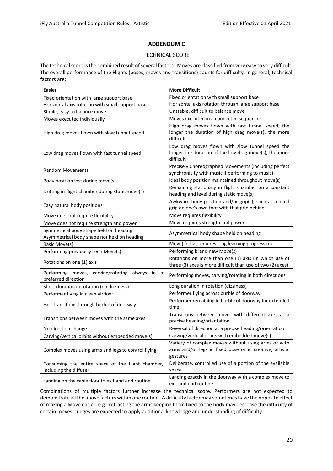#### **ADDENDUM C**

#### TECHNICAL SCORE

<span id="page-19-1"></span><span id="page-19-0"></span>The technical score is the combined result of several factors. Moves are classified from very easy to very difficult. The overall performance of the Flights (poses, moves and transitions) counts for difficulty. In general, technical factors are:

| <b>Easier</b>                                                                         | <b>More Difficult</b>                                                                                                      |  |  |
|---------------------------------------------------------------------------------------|----------------------------------------------------------------------------------------------------------------------------|--|--|
| Fixed orientation with large support base                                             | Fixed orientation with small support base                                                                                  |  |  |
| Horizontal axis rotation with small support base                                      | Horizontal axis rotation through large support base                                                                        |  |  |
| Stable, easy to balance move                                                          | Unstable, difficult to balance move                                                                                        |  |  |
| Moves executed individually                                                           | Moves executed in a connected sequence                                                                                     |  |  |
| High drag moves flown with slow tunnel speed                                          | High drag moves flown with fast tunnel speed, the<br>longer the duration of high drag move(s), the more<br>difficult       |  |  |
| Low drag moves flown with fast tunnel speed                                           | Low drag moves flown with slow tunnel speed the<br>longer the duration of the low drag move(s), the more<br>difficult      |  |  |
| <b>Random Movements</b>                                                               | Precisely Choreographed Movements (including perfect<br>synchronicity with music if performing to music)                   |  |  |
| Body position lost during move(s)                                                     | Ideal body position maintained throughout move(s)                                                                          |  |  |
| Drifting in flight chamber during static move(s)                                      | Remaining stationary in flight chamber on a constant<br>heading and level during static move(s)                            |  |  |
| Easy natural body positions                                                           | Awkward body position and/or grip(s), such as a hand<br>grip on one's own foot with that grip behind                       |  |  |
| Move does not require flexibility                                                     | Move requires flexibility                                                                                                  |  |  |
| Move does not require strength and power                                              | Move requires strength and power                                                                                           |  |  |
| Symmetrical body shape held on heading<br>Asymmetrical body shape not held on heading | Asymmetrical body shape held on heading                                                                                    |  |  |
| Basic Move(s)                                                                         | Move(s) that requires long learning progression                                                                            |  |  |
| Performing previously seen Move(s)                                                    | Performing brand new Move(s)                                                                                               |  |  |
| Rotations on one (1) axis                                                             | Rotations on more than one (1) axis (in which use of<br>three (3) axes is more difficult than use of two (2) axes)         |  |  |
| Performing moves, carving/rotating always in a<br>preferred direction                 | Performing moves, carving/rotating in both directions                                                                      |  |  |
| Short duration in rotation (no dizziness)                                             | Long duration in rotation (dizziness)                                                                                      |  |  |
| Performer flying in clean airflow                                                     | Performer flying across burble of doorway                                                                                  |  |  |
| Fast transitions through burble of doorway                                            | Performer remaining in burble of doorway for extended<br>time                                                              |  |  |
| Transitions between moves with the same axes                                          | Transitions between moves with different axes at a<br>precise heading/orientation                                          |  |  |
| No direction change                                                                   | Reversal of direction at a precise heading/orientation                                                                     |  |  |
| Carving/vertical orbits without embedded move(s)                                      | Carving/vertical orbits with embedded move(s)                                                                              |  |  |
| Complex moves using arms and legs to control flying                                   | Variety of complex moves without using arms or with<br>arms and/or legs in fixed pose or in creative, artistic<br>gestures |  |  |
| Consuming the entire space of the flight chamber,<br>including the diffuser           | Deliberate, controlled use of a portion of the available<br>space.                                                         |  |  |
| Landing on the cable floor to exit and end routine                                    | Landing exactly in the doorway with a complex move to<br>exit and end routine                                              |  |  |

Combinations of multiple factors further increase the technical score. Performers are not expected to demonstrate all the above factors within one routine. A difficulty factor may sometimes have the opposite effect of making a Move easier, e.g., retracting the arms keeping them fixed to the body may decrease the difficulty of certain moves. Judges are expected to apply additional knowledge and understanding of difficulty.